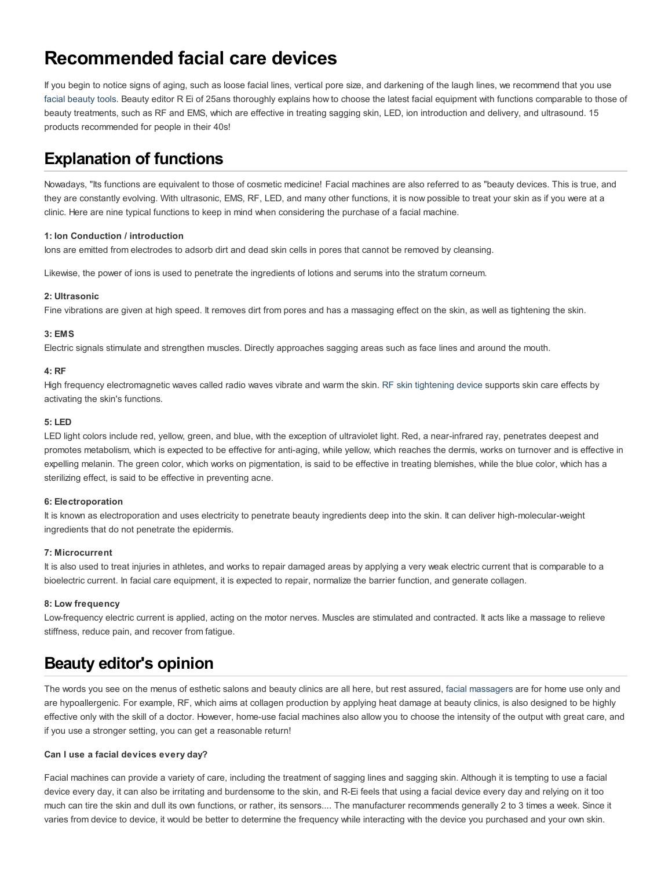# **Recommended facial care devices**

If you begin to notice signs of aging, such as loose facial lines, vertical pore size, and darkening of the laugh lines, we recommend that you use facial [beauty](https://www.llskin.jp/) tools. Beauty editor R Ei of 25ans thoroughly explains how to choose the latest facial equipment with functions comparable to those of beauty treatments, such as RF and EMS, which are effective in treating sagging skin, LED, ion introduction and delivery, and ultrasound. 15 products recommended for people in their 40s!

## **Explanation of functions**

Nowadays, "Its functions are equivalent to those of cosmetic medicine! Facial machines are also referred to as "beauty devices. This is true, and they are constantly evolving. With ultrasonic, EMS, RF, LED, and many other functions, it is now possible to treat your skin as if you were at a clinic. Here are nine typical functions to keep in mind when considering the purchase of a facial machine.

#### **1: Ion Conduction / introduction**

lons are emitted from electrodes to adsorb dirt and dead skin cells in pores that cannot be removed by cleansing.

Likewise, the power of ions is used to penetrate the ingredients of lotions and serums into the stratum corneum.

### **2: Ultrasonic**

Fine vibrations are given at high speed. It removes dirt from pores and has a massaging effect on the skin, as well as tightening the skin.

#### **3: EMS**

Electric signals stimulate and strengthen muscles. Directly approaches sagging areas such as face lines and around the mouth.

#### **4: RF**

High frequency electromagnetic waves called radio waves vibrate and warm the skin. RF skin [tightening](https://www.llskin.jp/products/via/) device supports skin care effects by activating the skin's functions.

#### **5: LED**

LED light colors include red, yellow, green, and blue, with the exception of ultraviolet light. Red, a near-infrared ray, penetrates deepest and promotes metabolism, which is expected to be effective for anti-aging, while yellow, which reaches the dermis, works on turnover and is effective in expelling melanin. The green color, which works on pigmentation, is said to be effective in treating blemishes, while the blue color, which has a sterilizing effect, is said to be effective in preventing acne.

#### **6: Electroporation**

It is known as electroporation and uses electricity to penetrate beauty ingredients deep into the skin. It can deliver high-molecular-weight ingredients that do not penetrate the epidermis.

#### **7: Microcurrent**

It is also used to treat injuries in athletes, and works to repair damaged areas by applying a very weak electric current that is comparable to a bioelectric current. In facial care equipment, it is expected to repair, normalize the barrier function, and generate collagen.

#### **8: Low frequency**

Low-frequency electric current is applied, acting on the motor nerves. Muscles are stimulated and contracted. It acts like a massage to relieve stiffness, reduce pain, and recover from fatigue.

### **Beauty editor's opinion**

The words you see on the menus of esthetic salons and beauty clinics are all here, but rest assured, facial [massagers](https://www.llskin.jp/products/mio2/) are for home use only and are hypoallergenic. For example, RF, which aims at collagen production by applying heat damage at beauty clinics, is also designed to be highly effective only with the skill of a doctor. However, home-use facial machines also allow you to choose the intensity of the output with great care, and if you use a stronger setting, you can get a reasonable return!

#### **Can I use a facial devices every day?**

Facial machines can provide a variety of care, including the treatment of sagging lines and sagging skin. Although it is tempting to use a facial device every day, it can also be irritating and burdensome to the skin, and R-Ei feels that using a facial device every day and relying on it too much can tire the skin and dull its own functions, or rather, its sensors.... The manufacturer recommends generally 2 to 3 times a week. Since it varies from device to device, it would be better to determine the frequency while interacting with the device you purchased and your own skin.